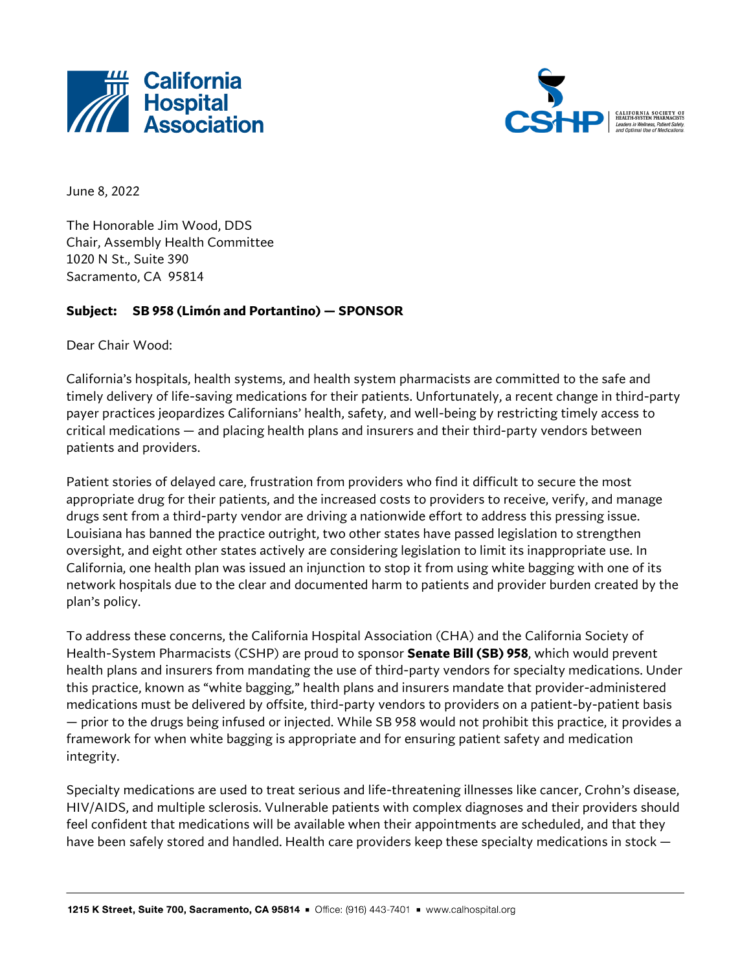



June 8, 2022

The Honorable Jim Wood, DDS Chair, Assembly Health Committee 1020 N St., Suite 390 Sacramento, CA 95814

## **Subject: SB 958 (Limón and Portantino) — SPONSOR**

Dear Chair Wood:

California's hospitals, health systems, and health system pharmacists are committed to the safe and timely delivery of life-saving medications for their patients. Unfortunately, a recent change in third-party payer practices jeopardizes Californians' health, safety, and well-being by restricting timely access to critical medications — and placing health plans and insurers and their third-party vendors between patients and providers.

Patient stories of delayed care, frustration from providers who find it difficult to secure the most appropriate drug for their patients, and the increased costs to providers to receive, verify, and manage drugs sent from a third-party vendor are driving a nationwide effort to address this pressing issue. Louisiana has banned the practice outright, two other states have passed legislation to strengthen oversight, and eight other states actively are considering legislation to limit its inappropriate use. In California, one health plan was issued an injunction to stop it from using white bagging with one of its network hospitals due to the clear and documented harm to patients and provider burden created by the plan's policy.

To address these concerns, the California Hospital Association (CHA) and the California Society of Health-System Pharmacists (CSHP) are proud to sponsor **Senate Bill (SB) 958**, which would prevent health plans and insurers from mandating the use of third-party vendors for specialty medications. Under this practice, known as "white bagging," health plans and insurers mandate that provider-administered medications must be delivered by offsite, third-party vendors to providers on a patient-by-patient basis — prior to the drugs being infused or injected. While SB 958 would not prohibit this practice, it provides a framework for when white bagging is appropriate and for ensuring patient safety and medication integrity.

Specialty medications are used to treat serious and life-threatening illnesses like cancer, Crohn's disease, HIV/AIDS, and multiple sclerosis. Vulnerable patients with complex diagnoses and their providers should feel confident that medications will be available when their appointments are scheduled, and that they have been safely stored and handled. Health care providers keep these specialty medications in stock —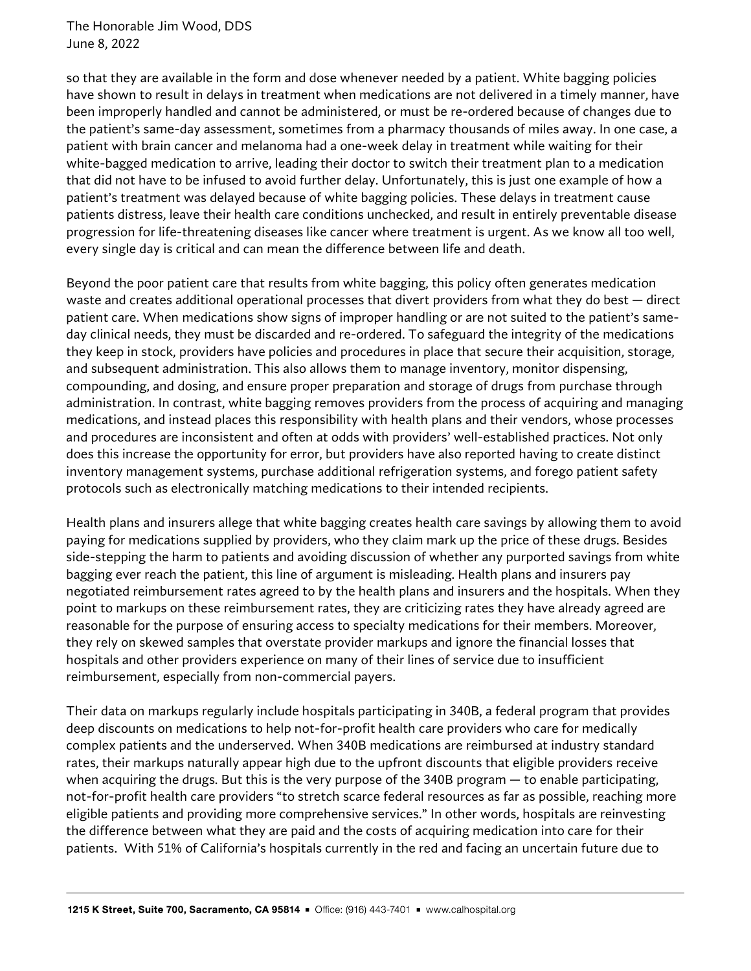The Honorable Jim Wood, DDS June 8, 2022

so that they are available in the form and dose whenever needed by a patient. White bagging policies have shown to result in delays in treatment when medications are not delivered in a timely manner, have been improperly handled and cannot be administered, or must be re-ordered because of changes due to the patient's same-day assessment, sometimes from a pharmacy thousands of miles away. In one case, a patient with brain cancer and melanoma had a one-week delay in treatment while waiting for their white-bagged medication to arrive, leading their doctor to switch their treatment plan to a medication that did not have to be infused to avoid further delay. Unfortunately, this is just one example of how a patient's treatment was delayed because of white bagging policies. These delays in treatment cause patients distress, leave their health care conditions unchecked, and result in entirely preventable disease progression for life-threatening diseases like cancer where treatment is urgent. As we know all too well, every single day is critical and can mean the difference between life and death.

Beyond the poor patient care that results from white bagging, this policy often generates medication waste and creates additional operational processes that divert providers from what they do best — direct patient care. When medications show signs of improper handling or are not suited to the patient's sameday clinical needs, they must be discarded and re-ordered. To safeguard the integrity of the medications they keep in stock, providers have policies and procedures in place that secure their acquisition, storage, and subsequent administration. This also allows them to manage inventory, monitor dispensing, compounding, and dosing, and ensure proper preparation and storage of drugs from purchase through administration. In contrast, white bagging removes providers from the process of acquiring and managing medications, and instead places this responsibility with health plans and their vendors, whose processes and procedures are inconsistent and often at odds with providers' well-established practices. Not only does this increase the opportunity for error, but providers have also reported having to create distinct inventory management systems, purchase additional refrigeration systems, and forego patient safety protocols such as electronically matching medications to their intended recipients.

Health plans and insurers allege that white bagging creates health care savings by allowing them to avoid paying for medications supplied by providers, who they claim mark up the price of these drugs. Besides side-stepping the harm to patients and avoiding discussion of whether any purported savings from white bagging ever reach the patient, this line of argument is misleading. Health plans and insurers pay negotiated reimbursement rates agreed to by the health plans and insurers and the hospitals. When they point to markups on these reimbursement rates, they are criticizing rates they have already agreed are reasonable for the purpose of ensuring access to specialty medications for their members. Moreover, they rely on skewed samples that overstate provider markups and ignore the financial losses that hospitals and other providers experience on many of their lines of service due to insufficient reimbursement, especially from non-commercial payers.

Their data on markups regularly include hospitals participating in 340B, a federal program that provides deep discounts on medications to help not-for-profit health care providers who care for medically complex patients and the underserved. When 340B medications are reimbursed at industry standard rates, their markups naturally appear high due to the upfront discounts that eligible providers receive when acquiring the drugs. But this is the very purpose of the 340B program — to enable participating, not-for-profit health care providers "to stretch scarce federal resources as far as possible, reaching more eligible patients and providing more comprehensive services." In other words, hospitals are reinvesting the difference between what they are paid and the costs of acquiring medication into care for their patients. With 51% of California's hospitals currently in the red and facing an uncertain future due to